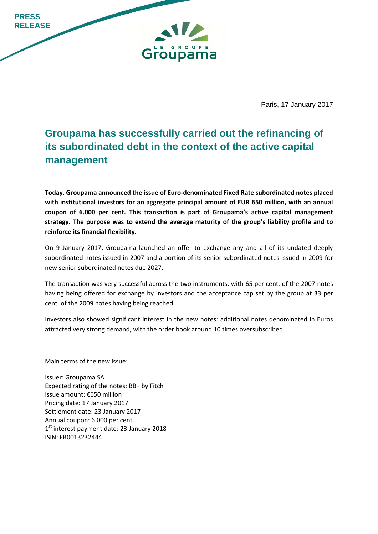**PRESS RELEASE GROUPE** Groupama

Paris, 17 January 2017

## **Groupama has successfully carried out the refinancing of its subordinated debt in the context of the active capital management**

**Today, Groupama announced the issue of Euro-denominated Fixed Rate subordinated notes placed with institutional investors for an aggregate principal amount of EUR 650 million, with an annual coupon of 6.000 per cent. This transaction is part of Groupama's active capital management strategy. The purpose was to extend the average maturity of the group's liability profile and to reinforce its financial flexibility.** 

On 9 January 2017, Groupama launched an offer to exchange any and all of its undated deeply subordinated notes issued in 2007 and a portion of its senior subordinated notes issued in 2009 for new senior subordinated notes due 2027.

The transaction was very successful across the two instruments, with 65 per cent. of the 2007 notes having being offered for exchange by investors and the acceptance cap set by the group at 33 per cent. of the 2009 notes having being reached.

Investors also showed significant interest in the new notes: additional notes denominated in Euros attracted very strong demand, with the order book around 10 times oversubscribed.

Main terms of the new issue:

Issuer: Groupama SA Expected rating of the notes: BB+ by Fitch Issue amount: €650 million Pricing date: 17 January 2017 Settlement date: 23 January 2017 Annual coupon: 6.000 per cent. 1<sup>st</sup> interest payment date: 23 January 2018 ISIN: FR0013232444